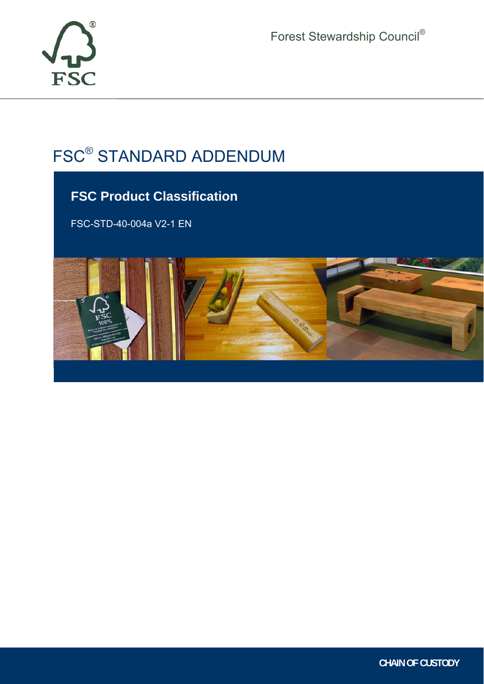

Forest Stewardship Council®

# FSC® STANDARD ADDENDUM

# **FSC Product Classification**

FSC-STD-40-004a V2-1 EN



ī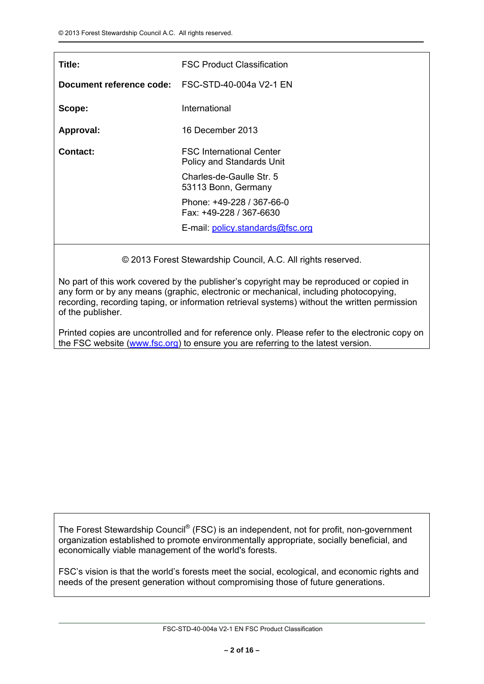| Title:                   | <b>FSC Product Classification</b>                                   |
|--------------------------|---------------------------------------------------------------------|
| Document reference code: | FSC-STD-40-004a V2-1 EN                                             |
| Scope:                   | International                                                       |
| Approval:                | 16 December 2013                                                    |
| <b>Contact:</b>          | <b>FSC</b> International Center<br><b>Policy and Standards Unit</b> |
|                          | Charles-de-Gaulle Str. 5<br>53113 Bonn, Germany                     |
|                          | Phone: +49-228 / 367-66-0<br>Fax: +49-228 / 367-6630                |
|                          | E-mail: policy.standards@fsc.org                                    |

© 2013 Forest Stewardship Council, A.C. All rights reserved.

No part of this work covered by the publisher's copyright may be reproduced or copied in any form or by any means (graphic, electronic or mechanical, including photocopying, recording, recording taping, or information retrieval systems) without the written permission of the publisher.

Printed copies are uncontrolled and for reference only. Please refer to the electronic copy on the FSC website (www.fsc.org) to ensure you are referring to the latest version.

The Forest Stewardship Council® (FSC) is an independent, not for profit, non-government organization established to promote environmentally appropriate, socially beneficial, and economically viable management of the world's forests.

FSC's vision is that the world's forests meet the social, ecological, and economic rights and needs of the present generation without compromising those of future generations.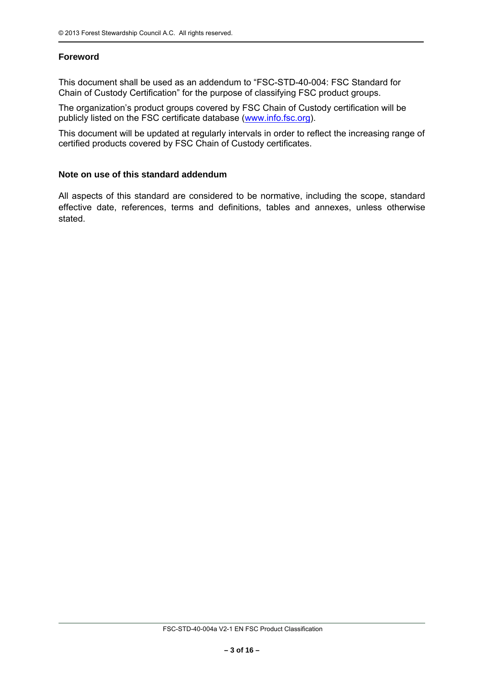# **Foreword**

This document shall be used as an addendum to "FSC-STD-40-004: FSC Standard for Chain of Custody Certification" for the purpose of classifying FSC product groups.

The organization's product groups covered by FSC Chain of Custody certification will be publicly listed on the FSC certificate database (www.info.fsc.org).

This document will be updated at regularly intervals in order to reflect the increasing range of certified products covered by FSC Chain of Custody certificates.

#### **Note on use of this standard addendum**

All aspects of this standard are considered to be normative, including the scope, standard effective date, references, terms and definitions, tables and annexes, unless otherwise stated.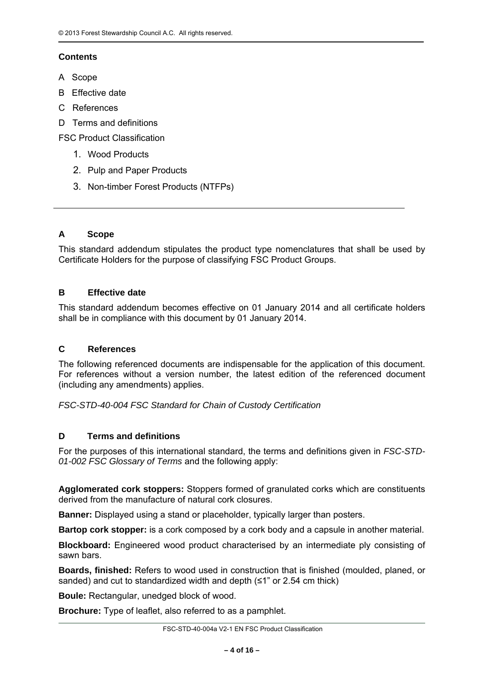# **Contents**

- A Scope
- B Effective date
- C References
- D Terms and definitions

FSC Product Classification

- 1. Wood Products
- 2. Pulp and Paper Products
- 3. Non-timber Forest Products (NTFPs)

## **A Scope**

This standard addendum stipulates the product type nomenclatures that shall be used by Certificate Holders for the purpose of classifying FSC Product Groups.

#### **B Effective date**

This standard addendum becomes effective on 01 January 2014 and all certificate holders shall be in compliance with this document by 01 January 2014.

#### **C References**

The following referenced documents are indispensable for the application of this document. For references without a version number, the latest edition of the referenced document (including any amendments) applies.

*FSC-STD-40-004 FSC Standard for Chain of Custody Certification* 

#### **D Terms and definitions**

For the purposes of this international standard, the terms and definitions given in *FSC-STD-01-002 FSC Glossary of Terms* and the following apply:

**Agglomerated cork stoppers:** Stoppers formed of granulated corks which are constituents derived from the manufacture of natural cork closures.

**Banner:** Displayed using a stand or placeholder, typically larger than posters.

**Bartop cork stopper:** is a cork composed by a cork body and a capsule in another material.

**Blockboard:** Engineered wood product characterised by an intermediate ply consisting of sawn bars.

**Boards, finished:** Refers to wood used in construction that is finished (moulded, planed, or sanded) and cut to standardized width and depth (≤1" or 2.54 cm thick)

**Boule:** Rectangular, unedged block of wood.

**Brochure:** Type of leaflet, also referred to as a pamphlet.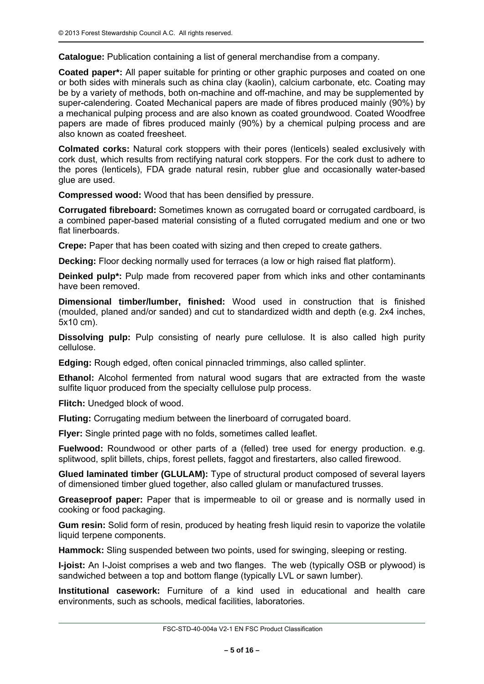**Catalogue:** Publication containing a list of general merchandise from a company.

**Coated paper\*:** All paper suitable for printing or other graphic purposes and coated on one or both sides with minerals such as china clay (kaolin), calcium carbonate, etc. Coating may be by a variety of methods, both on-machine and off-machine, and may be supplemented by super-calendering. Coated Mechanical papers are made of fibres produced mainly (90%) by a mechanical pulping process and are also known as coated groundwood. Coated Woodfree papers are made of fibres produced mainly (90%) by a chemical pulping process and are also known as coated freesheet.

**Colmated corks:** Natural cork stoppers with their pores (lenticels) sealed exclusively with cork dust, which results from rectifying natural cork stoppers. For the cork dust to adhere to the pores (lenticels), FDA grade natural resin, rubber glue and occasionally water-based glue are used.

**Compressed wood:** Wood that has been densified by pressure.

**Corrugated fibreboard:** Sometimes known as corrugated board or corrugated cardboard, is a combined paper-based material consisting of a fluted corrugated medium and one or two flat linerboards.

**Crepe:** Paper that has been coated with sizing and then creped to create gathers.

**Decking:** Floor decking normally used for terraces (a low or high raised flat platform).

**Deinked pulp<sup>\*</sup>:** Pulp made from recovered paper from which inks and other contaminants have been removed.

**Dimensional timber/lumber, finished:** Wood used in construction that is finished (moulded, planed and/or sanded) and cut to standardized width and depth (e.g. 2x4 inches, 5x10 cm).

**Dissolving pulp:** Pulp consisting of nearly pure cellulose. It is also called high purity cellulose.

**Edging:** Rough edged, often conical pinnacled trimmings, also called splinter.

**Ethanol:** Alcohol fermented from natural wood sugars that are extracted from the waste sulfite liquor produced from the specialty cellulose pulp process.

**Flitch:** Unedged block of wood.

**Fluting:** Corrugating medium between the linerboard of corrugated board.

**Flyer:** Single printed page with no folds, sometimes called leaflet.

**Fuelwood:** Roundwood or other parts of a (felled) tree used for energy production. e.g. splitwood, split billets, chips, forest pellets, faggot and firestarters, also called firewood.

**Glued laminated timber (GLULAM):** Type of structural product composed of several layers of dimensioned timber glued together, also called glulam or manufactured trusses.

**Greaseproof paper:** Paper that is impermeable to oil or grease and is normally used in cooking or food packaging.

**Gum resin:** Solid form of resin, produced by heating fresh liquid resin to vaporize the volatile liquid terpene components.

**Hammock:** Sling suspended between two points, used for swinging, sleeping or resting.

**I-joist:** An I-Joist comprises a web and two flanges. The web (typically OSB or plywood) is sandwiched between a top and bottom flange (typically LVL or sawn lumber).

**Institutional casework:** Furniture of a kind used in educational and health care environments, such as schools, medical facilities, laboratories.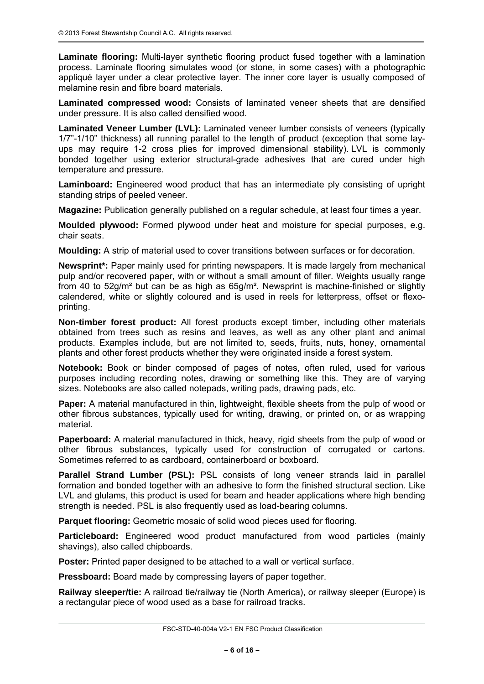**Laminate flooring:** Multi-layer synthetic flooring product fused together with a lamination process. Laminate flooring simulates wood (or stone, in some cases) with a photographic appliqué layer under a clear protective layer. The inner core layer is usually composed of melamine resin and fibre board materials.

**Laminated compressed wood:** Consists of laminated veneer sheets that are densified under pressure. It is also called densified wood.

**Laminated Veneer Lumber (LVL):** Laminated veneer lumber consists of veneers (typically 1/7"-1/10" thickness) all running parallel to the length of product (exception that some layups may require 1-2 cross plies for improved dimensional stability). LVL is commonly bonded together using exterior structural-grade adhesives that are cured under high temperature and pressure.

**Laminboard:** Engineered wood product that has an intermediate ply consisting of upright standing strips of peeled veneer.

**Magazine:** Publication generally published on a regular schedule, at least four times a year.

**Moulded plywood:** Formed plywood under heat and moisture for special purposes, e.g. chair seats.

**Moulding:** A strip of material used to cover transitions between surfaces or for decoration.

**Newsprint\*:** Paper mainly used for printing newspapers. It is made largely from mechanical pulp and/or recovered paper, with or without a small amount of filler. Weights usually range from 40 to 52g/m² but can be as high as 65g/m². Newsprint is machine-finished or slightly calendered, white or slightly coloured and is used in reels for letterpress, offset or flexoprinting.

**Non-timber forest product:** All forest products except timber, including other materials obtained from trees such as resins and leaves, as well as any other plant and animal products. Examples include, but are not limited to, seeds, fruits, nuts, honey, ornamental plants and other forest products whether they were originated inside a forest system.

**Notebook:** Book or binder composed of pages of notes, often ruled, used for various purposes including recording notes, drawing or something like this. They are of varying sizes. Notebooks are also called notepads, writing pads, drawing pads, etc.

**Paper:** A material manufactured in thin, lightweight, flexible sheets from the pulp of wood or other fibrous substances, typically used for writing, drawing, or printed on, or as wrapping material.

**Paperboard:** A material manufactured in thick, heavy, rigid sheets from the pulp of wood or other fibrous substances, typically used for construction of corrugated or cartons. Sometimes referred to as cardboard, containerboard or boxboard.

**Parallel Strand Lumber (PSL):** PSL consists of long veneer strands laid in parallel formation and bonded together with an adhesive to form the finished structural section. Like LVL and glulams, this product is used for beam and header applications where high bending strength is needed. PSL is also frequently used as load-bearing columns.

**Parquet flooring:** Geometric mosaic of solid wood pieces used for flooring.

**Particleboard:** Engineered wood product manufactured from wood particles (mainly shavings), also called chipboards.

**Poster:** Printed paper designed to be attached to a wall or vertical surface.

**Pressboard:** Board made by compressing layers of paper together.

**Railway sleeper/tie:** A railroad tie/railway tie (North America), or railway sleeper (Europe) is a rectangular piece of wood used as a base for railroad tracks.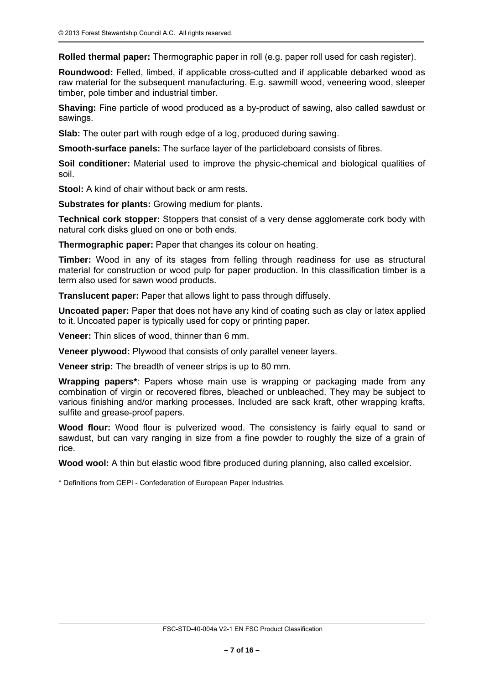**Rolled thermal paper:** Thermographic paper in roll (e.g. paper roll used for cash register).

**Roundwood:** Felled, limbed, if applicable cross-cutted and if applicable debarked wood as raw material for the subsequent manufacturing. E.g. sawmill wood, veneering wood, sleeper timber, pole timber and industrial timber.

**Shaving:** Fine particle of wood produced as a by-product of sawing, also called sawdust or sawings.

**Slab:** The outer part with rough edge of a log, produced during sawing.

**Smooth-surface panels:** The surface layer of the particleboard consists of fibres.

**Soil conditioner:** Material used to improve the physic-chemical and biological qualities of soil.

**Stool:** A kind of chair without back or arm rests.

**Substrates for plants:** Growing medium for plants.

**Technical cork stopper:** Stoppers that consist of a very dense agglomerate cork body with natural cork disks glued on one or both ends.

**Thermographic paper:** Paper that changes its colour on heating.

**Timber:** Wood in any of its stages from felling through readiness for use as structural material for construction or wood pulp for paper production. In this classification timber is a term also used for sawn wood products.

**Translucent paper:** Paper that allows light to pass through diffusely.

**Uncoated paper:** Paper that does not have any kind of coating such as clay or latex applied to it. Uncoated paper is typically used for copy or printing paper.

**Veneer:** Thin slices of wood, thinner than 6 mm.

**Veneer plywood:** Plywood that consists of only parallel veneer layers.

**Veneer strip:** The breadth of veneer strips is up to 80 mm.

**Wrapping papers\***: Papers whose main use is wrapping or packaging made from any combination of virgin or recovered fibres, bleached or unbleached. They may be subject to various finishing and/or marking processes. Included are sack kraft, other wrapping krafts, sulfite and grease-proof papers.

**Wood flour:** Wood flour is pulverized wood. The consistency is fairly equal to sand or sawdust, but can vary ranging in size from a fine powder to roughly the size of a grain of rice.

**Wood wool:** A thin but elastic wood fibre produced during planning, also called excelsior.

\* Definitions from CEPI - Confederation of European Paper Industries.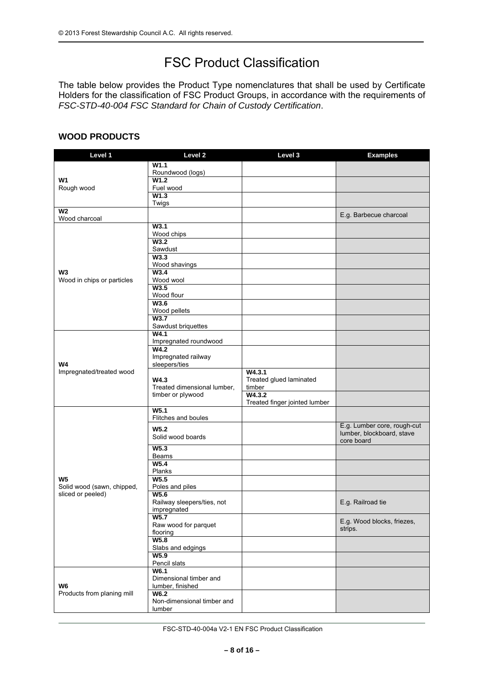# FSC Product Classification

The table below provides the Product Type nomenclatures that shall be used by Certificate Holders for the classification of FSC Product Groups, in accordance with the requirements of *FSC-STD-40-004 FSC Standard for Chain of Custody Certification*.

# **WOOD PRODUCTS**

| Level 1                                         | Level <sub>2</sub>                                       | Level 3                           | <b>Examples</b>             |
|-------------------------------------------------|----------------------------------------------------------|-----------------------------------|-----------------------------|
|                                                 | W1.1                                                     |                                   |                             |
|                                                 | Roundwood (logs)                                         |                                   |                             |
| W <sub>1</sub><br>Rough wood                    | W1.2<br>Fuel wood                                        |                                   |                             |
|                                                 | W <sub>1.3</sub>                                         |                                   |                             |
|                                                 | Twigs                                                    |                                   |                             |
| <b>W2</b>                                       |                                                          |                                   | E.g. Barbecue charcoal      |
| Wood charcoal                                   | W <sub>3.1</sub>                                         |                                   |                             |
|                                                 | Wood chips                                               |                                   |                             |
|                                                 | W3.2                                                     |                                   |                             |
|                                                 | Sawdust                                                  |                                   |                             |
|                                                 | W3.3                                                     |                                   |                             |
| W3                                              | Wood shavings<br>W <sub>3.4</sub>                        |                                   |                             |
| Wood in chips or particles                      | Wood wool                                                |                                   |                             |
|                                                 | W3.5                                                     |                                   |                             |
|                                                 | Wood flour                                               |                                   |                             |
|                                                 | W3.6<br>Wood pellets                                     |                                   |                             |
|                                                 | W3.7                                                     |                                   |                             |
|                                                 | Sawdust briquettes                                       |                                   |                             |
|                                                 | W4.1                                                     |                                   |                             |
|                                                 | Impregnated roundwood<br>W4.2                            |                                   |                             |
|                                                 | Impregnated railway                                      |                                   |                             |
| W4                                              | sleepers/ties                                            |                                   |                             |
| Impregnated/treated wood                        |                                                          | W4.3.1                            |                             |
|                                                 | W4.3<br>Treated dimensional lumber,<br>timber or plywood | Treated glued laminated<br>timber |                             |
|                                                 |                                                          | W4.3.2                            |                             |
|                                                 |                                                          | Treated finger jointed lumber     |                             |
|                                                 | W5.1                                                     |                                   |                             |
|                                                 | Flitches and boules                                      |                                   | E.g. Lumber core, rough-cut |
|                                                 | W <sub>5.2</sub>                                         |                                   | lumber, blockboard, stave   |
|                                                 | Solid wood boards                                        |                                   | core board                  |
|                                                 | W <sub>5.3</sub><br><b>Beams</b>                         |                                   |                             |
|                                                 | W5.4                                                     |                                   |                             |
|                                                 | Planks                                                   |                                   |                             |
| W <sub>5</sub>                                  | W5.5                                                     |                                   |                             |
| Solid wood (sawn, chipped,<br>sliced or peeled) | Poles and piles<br>W5.6                                  |                                   |                             |
|                                                 | Railway sleepers/ties, not                               |                                   | E.g. Railroad tie           |
|                                                 | impregnated                                              |                                   |                             |
|                                                 | W5.7                                                     |                                   | E.g. Wood blocks, friezes,  |
|                                                 | Raw wood for parquet                                     |                                   | strips.                     |
|                                                 | flooring<br>W5.8                                         |                                   |                             |
|                                                 | Slabs and edgings                                        |                                   |                             |
|                                                 | W5.9                                                     |                                   |                             |
|                                                 | Pencil slats                                             |                                   |                             |
|                                                 | W6.1<br>Dimensional timber and                           |                                   |                             |
| W <sub>6</sub>                                  | lumber, finished                                         |                                   |                             |
| Products from planing mill                      | W6.2                                                     |                                   |                             |
|                                                 | Non-dimensional timber and                               |                                   |                             |
|                                                 | lumber                                                   |                                   |                             |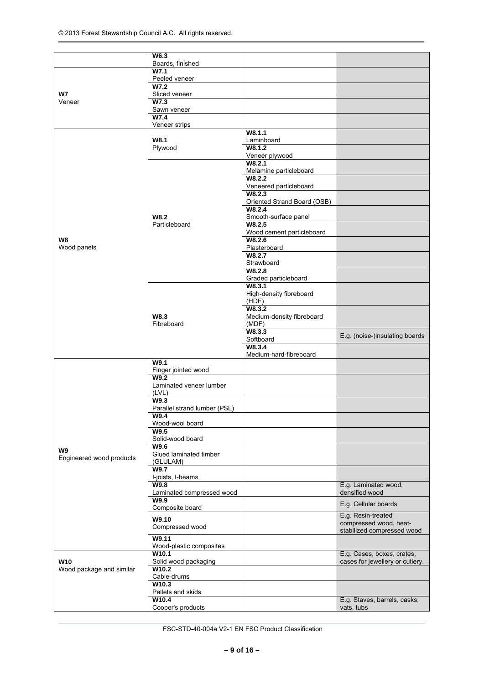|                                        | W6.3                               |                                  |                                                      |
|----------------------------------------|------------------------------------|----------------------------------|------------------------------------------------------|
|                                        | Boards, finished                   |                                  |                                                      |
|                                        | W7.1                               |                                  |                                                      |
|                                        | Peeled veneer                      |                                  |                                                      |
| W7                                     | W7.2<br>Sliced veneer              |                                  |                                                      |
| Veneer                                 | W7.3                               |                                  |                                                      |
|                                        | Sawn veneer                        |                                  |                                                      |
|                                        | W7.4                               |                                  |                                                      |
|                                        | Veneer strips                      | W8.1.1                           |                                                      |
|                                        | W8.1                               | Laminboard                       |                                                      |
|                                        | Plywood                            | W8.1.2                           |                                                      |
|                                        |                                    | Veneer plywood                   |                                                      |
|                                        |                                    | W8.2.1                           |                                                      |
|                                        |                                    | Melamine particleboard<br>W8.2.2 |                                                      |
|                                        |                                    | Veneered particleboard           |                                                      |
|                                        |                                    | W8.2.3                           |                                                      |
|                                        |                                    | Oriented Strand Board (OSB)      |                                                      |
|                                        |                                    | W8.2.4                           |                                                      |
|                                        | W8.2<br>Particleboard              | Smooth-surface panel<br>W8.2.5   |                                                      |
|                                        |                                    | Wood cement particleboard        |                                                      |
| W8                                     |                                    | W8.2.6                           |                                                      |
| Wood panels                            |                                    | Plasterboard                     |                                                      |
|                                        |                                    | W8.2.7<br>Strawboard             |                                                      |
|                                        |                                    | W8.2.8                           |                                                      |
|                                        |                                    | Graded particleboard             |                                                      |
|                                        |                                    | W8.3.1                           |                                                      |
|                                        |                                    | High-density fibreboard<br>(HDF) |                                                      |
|                                        |                                    | W8.3.2                           |                                                      |
|                                        | W8.3                               | Medium-density fibreboard        |                                                      |
|                                        | Fibreboard                         | (MDF)                            |                                                      |
|                                        |                                    | W8.3.3                           | E.g. (noise-)insulating boards                       |
|                                        |                                    | Softboard<br>W8.3.4              |                                                      |
|                                        |                                    | Medium-hard-fibreboard           |                                                      |
|                                        | W9.1                               |                                  |                                                      |
|                                        | Finger jointed wood                |                                  |                                                      |
|                                        | W9.2<br>Laminated veneer lumber    |                                  |                                                      |
|                                        | (LVL)                              |                                  |                                                      |
|                                        | W9.3                               |                                  |                                                      |
|                                        | Parallel strand lumber (PSL)       |                                  |                                                      |
|                                        | W9.4<br>Wood-wool board            |                                  |                                                      |
|                                        | W9.5                               |                                  |                                                      |
|                                        | Solid-wood board                   |                                  |                                                      |
| W9                                     | W9.6                               |                                  |                                                      |
| Engineered wood products               | Glued laminated timber<br>(GLULAM) |                                  |                                                      |
|                                        | W9.7                               |                                  |                                                      |
|                                        | I-joists, I-beams                  |                                  |                                                      |
|                                        | W9.8                               |                                  | E.g. Laminated wood,<br>densified wood               |
|                                        | Laminated compressed wood<br>W9.9  |                                  |                                                      |
|                                        | Composite board                    |                                  | E.g. Cellular boards                                 |
|                                        | W9.10                              |                                  | E.g. Resin-treated                                   |
|                                        | Compressed wood                    |                                  | compressed wood, heat-<br>stabilized compressed wood |
|                                        | W9.11                              |                                  |                                                      |
|                                        | Wood-plastic composites            |                                  |                                                      |
|                                        | W10.1                              |                                  | E.g. Cases, boxes, crates,                           |
| <b>W10</b><br>Wood package and similar | Solid wood packaging<br>W10.2      |                                  | cases for jewellery or cutlery.                      |
|                                        | Cable-drums                        |                                  |                                                      |
|                                        | W10.3                              |                                  |                                                      |
|                                        | Pallets and skids                  |                                  |                                                      |
|                                        | W10.4<br>Cooper's products         |                                  | E.g. Staves, barrels, casks,<br>vats, tubs           |
|                                        |                                    |                                  |                                                      |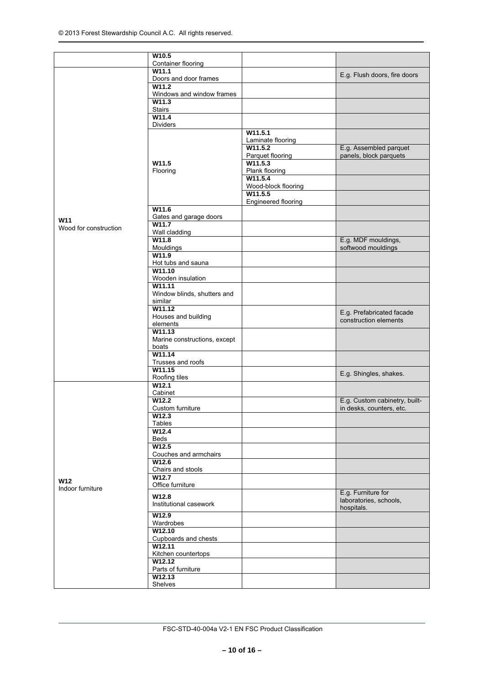|                       | W <sub>10.5</sub>                      |                                |                                                    |
|-----------------------|----------------------------------------|--------------------------------|----------------------------------------------------|
|                       | <b>Container flooring</b>              |                                |                                                    |
|                       | W11.1<br>Doors and door frames         |                                | E.g. Flush doors, fire doors                       |
|                       | W11.2                                  |                                |                                                    |
|                       | Windows and window frames              |                                |                                                    |
|                       | W11.3<br><b>Stairs</b>                 |                                |                                                    |
|                       | W11.4                                  |                                |                                                    |
|                       | <b>Dividers</b>                        |                                |                                                    |
|                       |                                        | W11.5.1<br>Laminate flooring   |                                                    |
|                       |                                        | W11.5.2                        | E.g. Assembled parquet                             |
|                       | W11.5                                  | Parquet flooring<br>W11.5.3    | panels, block parquets                             |
|                       | Flooring                               | Plank flooring                 |                                                    |
|                       |                                        | W11.5.4                        |                                                    |
|                       |                                        | Wood-block flooring<br>W11.5.5 |                                                    |
|                       |                                        | Engineered flooring            |                                                    |
|                       | W11.6                                  |                                |                                                    |
| W11                   | Gates and garage doors<br>W11.7        |                                |                                                    |
| Wood for construction | Wall cladding                          |                                |                                                    |
|                       | W11.8                                  |                                | E.g. MDF mouldings,                                |
|                       | Mouldings<br>W11.9                     |                                | softwood mouldings                                 |
|                       | Hot tubs and sauna                     |                                |                                                    |
|                       | W11.10                                 |                                |                                                    |
|                       | Wooden insulation<br>W11.11            |                                |                                                    |
|                       | Window blinds, shutters and            |                                |                                                    |
|                       | similar<br>W11.12                      |                                |                                                    |
|                       | Houses and building                    |                                | E.g. Prefabricated facade<br>construction elements |
|                       | elements                               |                                |                                                    |
|                       | W11.13<br>Marine constructions, except |                                |                                                    |
|                       | boats                                  |                                |                                                    |
|                       | W11.14                                 |                                |                                                    |
|                       | Trusses and roofs<br>W11.15            |                                |                                                    |
|                       | Roofing tiles                          |                                | E.g. Shingles, shakes.                             |
|                       | W12.1<br>Cabinet                       |                                |                                                    |
|                       | W12.2                                  |                                | E.g. Custom cabinetry, built-                      |
|                       | Custom furniture                       |                                | in desks, counters, etc.                           |
|                       | W12.3<br>Tables                        |                                |                                                    |
|                       | W12.4                                  |                                |                                                    |
|                       | Beds<br>W12.5                          |                                |                                                    |
|                       | Couches and armchairs                  |                                |                                                    |
|                       | W12.6                                  |                                |                                                    |
|                       | Chairs and stools<br>W12.7             |                                |                                                    |
| <b>W12</b>            | Office furniture                       |                                |                                                    |
| Indoor furniture      | W12.8                                  |                                | E.g. Furniture for                                 |
|                       | Institutional casework                 |                                | laboratories, schools,<br>hospitals.               |
|                       | W12.9                                  |                                |                                                    |
|                       | Wardrobes                              |                                |                                                    |
|                       | W12.10<br>Cupboards and chests         |                                |                                                    |
|                       | W12.11                                 |                                |                                                    |
|                       | Kitchen countertops<br>W12.12          |                                |                                                    |
|                       | Parts of furniture                     |                                |                                                    |
|                       | W12.13                                 |                                |                                                    |
|                       | Shelves                                |                                |                                                    |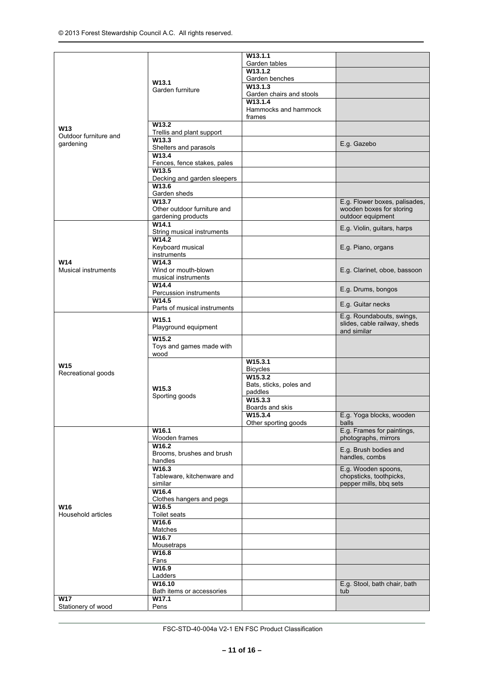|                                    |                                                            | W <sub>13.1.1</sub>                       |                                                                                |
|------------------------------------|------------------------------------------------------------|-------------------------------------------|--------------------------------------------------------------------------------|
|                                    |                                                            | Garden tables                             |                                                                                |
|                                    |                                                            | W13.1.2                                   |                                                                                |
|                                    | W <sub>13.1</sub>                                          | Garden benches                            |                                                                                |
|                                    | Garden furniture                                           | W13.1.3                                   |                                                                                |
|                                    |                                                            | Garden chairs and stools                  |                                                                                |
|                                    |                                                            | W13.1.4<br>Hammocks and hammock<br>frames |                                                                                |
| <b>W13</b>                         | W <sub>13.2</sub><br>Trellis and plant support             |                                           |                                                                                |
| Outdoor furniture and<br>gardening | W <sub>13.3</sub><br>Shelters and parasols                 |                                           | E.g. Gazebo                                                                    |
|                                    | W13.4                                                      |                                           |                                                                                |
|                                    | Fences, fence stakes, pales<br>W13.5                       |                                           |                                                                                |
|                                    | Decking and garden sleepers<br>W13.6                       |                                           |                                                                                |
|                                    | Garden sheds                                               |                                           |                                                                                |
|                                    | W13.7<br>Other outdoor furniture and<br>gardening products |                                           | E.g. Flower boxes, palisades,<br>wooden boxes for storing<br>outdoor equipment |
|                                    | W14.1<br>String musical instruments                        |                                           | E.g. Violin, guitars, harps                                                    |
|                                    | W14.2<br>Keyboard musical                                  |                                           | E.g. Piano, organs                                                             |
| W14                                | instruments<br>W14.3                                       |                                           |                                                                                |
| <b>Musical instruments</b>         | Wind or mouth-blown<br>musical instruments                 |                                           | E.g. Clarinet, oboe, bassoon                                                   |
|                                    | W14.4<br>Percussion instruments                            |                                           | E.g. Drums, bongos                                                             |
|                                    | W14.5<br>Parts of musical instruments                      |                                           | E.g. Guitar necks                                                              |
|                                    | W <sub>15.1</sub><br>Playground equipment                  |                                           | E.g. Roundabouts, swings,<br>slides, cable railway, sheds<br>and similar       |
|                                    | W15.2<br>Toys and games made with<br>wood                  |                                           |                                                                                |
| <b>W15</b>                         |                                                            | W15.3.1<br><b>Bicycles</b>                |                                                                                |
| Recreational goods                 |                                                            | W15.3.2                                   |                                                                                |
|                                    |                                                            | Bats, sticks, poles and                   |                                                                                |
|                                    | W <sub>15.3</sub><br>Sporting goods                        | paddles                                   |                                                                                |
|                                    |                                                            | W15.3.3                                   |                                                                                |
|                                    |                                                            | Boards and skis<br>W15.3.4                | E.g. Yoga blocks, wooden                                                       |
|                                    |                                                            | Other sporting goods                      | balls                                                                          |
|                                    | W <sub>16.1</sub><br>Wooden frames                         |                                           | E.g. Frames for paintings,<br>photographs, mirrors                             |
|                                    | W16.2<br>Brooms, brushes and brush                         |                                           | E.g. Brush bodies and<br>handles, combs                                        |
|                                    | handles<br>W <sub>16.3</sub>                               |                                           | E.g. Wooden spoons,                                                            |
|                                    | Tableware, kitchenware and<br>similar                      |                                           | chopsticks, toothpicks,<br>pepper mills, bbq sets                              |
|                                    | W16.4<br>Clothes hangers and pegs                          |                                           |                                                                                |
| W16<br>Household articles          | W <sub>16.5</sub><br>Toilet seats                          |                                           |                                                                                |
|                                    | W16.6<br>Matches                                           |                                           |                                                                                |
|                                    | W16.7<br>Mousetraps                                        |                                           |                                                                                |
|                                    | W16.8<br>Fans                                              |                                           |                                                                                |
|                                    | W16.9<br>Ladders                                           |                                           |                                                                                |
|                                    | W16.10<br>Bath items or accessories                        |                                           | E.g. Stool, bath chair, bath<br>tub                                            |
| <b>W17</b>                         | W17.1                                                      |                                           |                                                                                |
| Stationery of wood                 | Pens                                                       |                                           |                                                                                |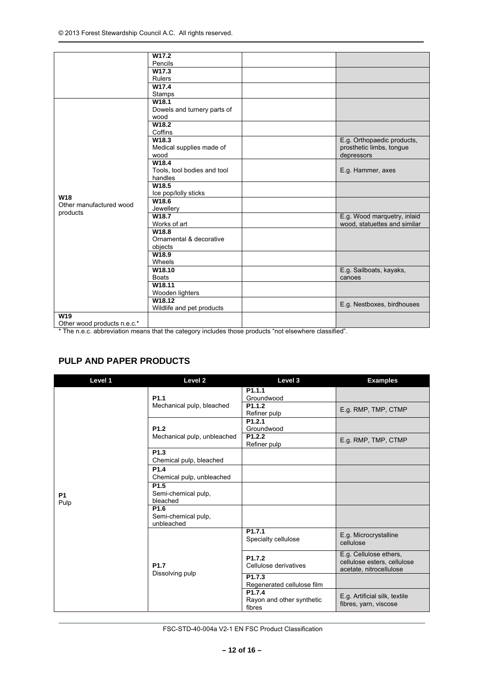|                             | W17.2                       |                              |
|-----------------------------|-----------------------------|------------------------------|
|                             | Pencils                     |                              |
|                             | W17.3                       |                              |
|                             | Rulers                      |                              |
|                             | W17.4                       |                              |
|                             | Stamps                      |                              |
|                             | W18.1                       |                              |
|                             | Dowels and turnery parts of |                              |
|                             | wood                        |                              |
|                             | W18.2                       |                              |
|                             | Coffins                     |                              |
|                             | W18.3                       | E.g. Orthopaedic products,   |
|                             | Medical supplies made of    | prosthetic limbs, tongue     |
|                             | wood                        | depressors                   |
|                             | W18.4                       |                              |
|                             | Tools, tool bodies and tool | E.g. Hammer, axes            |
|                             | handles                     |                              |
|                             | W18.5                       |                              |
|                             | Ice pop/lolly sticks        |                              |
| W18                         | W18.6                       |                              |
| Other manufactured wood     | Jewellery                   |                              |
| products                    | W18.7                       | E.g. Wood marquetry, inlaid  |
|                             | Works of art                | wood, statuettes and similar |
|                             | W18.8                       |                              |
|                             | Ornamental & decorative     |                              |
|                             | objects                     |                              |
|                             | W18.9                       |                              |
|                             | Wheels                      |                              |
|                             | W18.10                      | E.g. Sailboats, kayaks,      |
|                             | <b>Boats</b>                | canoes                       |
|                             | W18.11                      |                              |
|                             |                             |                              |
|                             | Wooden lighters             |                              |
|                             | W18.12                      | E.g. Nestboxes, birdhouses   |
|                             | Wildlife and pet products   |                              |
| W19                         |                             |                              |
| Other wood products n.e.c.* |                             |                              |

\* The n.e.c. abbreviation means that the category includes those products "not elsewhere classified".

# **PULP AND PAPER PRODUCTS**

| Level 1           | Level 2                                               | Level 3                                          | <b>Examples</b>                                                                  |
|-------------------|-------------------------------------------------------|--------------------------------------------------|----------------------------------------------------------------------------------|
|                   | P <sub>1.1</sub><br>Mechanical pulp, bleached         | P <sub>1.1.1</sub><br>Groundwood                 |                                                                                  |
|                   |                                                       | P <sub>1.1.2</sub><br>Refiner pulp               | E.g. RMP, TMP, CTMP                                                              |
|                   | P <sub>1.2</sub>                                      | P1.2.1<br>Groundwood                             |                                                                                  |
|                   | Mechanical pulp, unbleached                           | P <sub>1.2.2</sub><br>Refiner pulp               | E.g. RMP, TMP, CTMP                                                              |
|                   | P <sub>1.3</sub><br>Chemical pulp, bleached           |                                                  |                                                                                  |
|                   | P <sub>1.4</sub><br>Chemical pulp, unbleached         |                                                  |                                                                                  |
| <b>P1</b><br>Pulp | P <sub>1.5</sub><br>Semi-chemical pulp,<br>bleached   |                                                  |                                                                                  |
|                   | P <sub>1.6</sub><br>Semi-chemical pulp,<br>unbleached |                                                  |                                                                                  |
|                   | P <sub>1.7</sub>                                      | P1.7.1<br>Specialty cellulose                    | E.g. Microcrystalline<br>cellulose                                               |
|                   |                                                       | P <sub>1.7.2</sub><br>Cellulose derivatives      | E.g. Cellulose ethers,<br>cellulose esters, cellulose<br>acetate, nitrocellulose |
|                   | Dissolving pulp                                       | P <sub>1.7.3</sub><br>Regenerated cellulose film |                                                                                  |
|                   |                                                       | P1.7.4<br>Rayon and other synthetic<br>fibres    | E.g. Artificial silk, textile<br>fibres, yarn, viscose                           |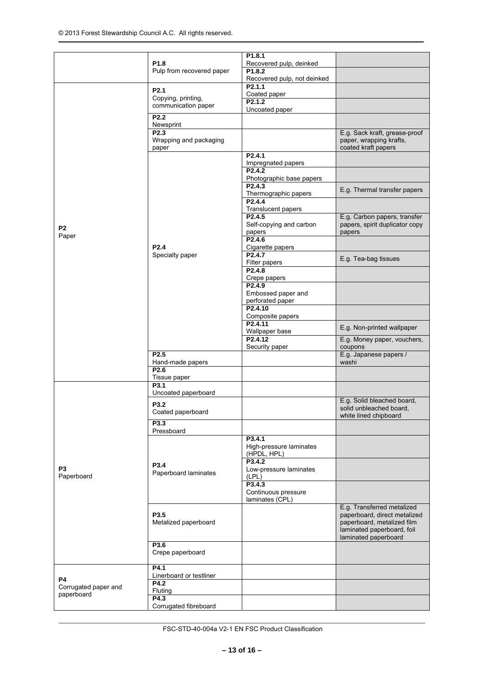|                                    | P <sub>1.8</sub><br>Pulp from recovered paper | P1.8.1                                     |                                 |
|------------------------------------|-----------------------------------------------|--------------------------------------------|---------------------------------|
|                                    |                                               | Recovered pulp, deinked<br>P1.8.2          |                                 |
|                                    |                                               | Recovered pulp, not deinked                |                                 |
|                                    | P <sub>2.1</sub>                              | P2.1.1                                     |                                 |
|                                    | Copying, printing,                            | Coated paper                               |                                 |
|                                    | communication paper                           | P <sub>2.1.2</sub>                         |                                 |
|                                    | P <sub>2.2</sub>                              | Uncoated paper                             |                                 |
|                                    | Newsprint                                     |                                            |                                 |
|                                    | P <sub>2.3</sub>                              |                                            | E.g. Sack kraft, grease-proof   |
|                                    | Wrapping and packaging                        |                                            | paper, wrapping krafts,         |
|                                    | paper                                         | P <sub>2.4.1</sub>                         | coated kraft papers             |
|                                    |                                               | Impregnated papers                         |                                 |
|                                    |                                               | P <sub>2.4.2</sub>                         |                                 |
|                                    |                                               | Photographic base papers                   |                                 |
|                                    |                                               | P2.4.3                                     | E.g. Thermal transfer papers    |
|                                    |                                               | Thermographic papers<br>P <sub>2.4.4</sub> |                                 |
|                                    |                                               | Translucent papers                         |                                 |
|                                    |                                               | P <sub>2.4.5</sub>                         | E.g. Carbon papers, transfer    |
| P2                                 |                                               | Self-copying and carbon                    | papers, spirit duplicator copy  |
| Paper                              |                                               | papers<br>$P2.\overline{4.6}$              | papers                          |
|                                    | P <sub>2.4</sub>                              | Cigarette papers                           |                                 |
|                                    | Specialty paper                               | P2.4.7                                     |                                 |
|                                    |                                               | Filter papers                              | E.g. Tea-bag tissues            |
|                                    |                                               | P <sub>2.4.8</sub>                         |                                 |
|                                    |                                               | Crepe papers<br>P <sub>2.4.9</sub>         |                                 |
|                                    |                                               | Embossed paper and                         |                                 |
|                                    |                                               | perforated paper                           |                                 |
|                                    |                                               | P <sub>2.4.10</sub>                        |                                 |
|                                    |                                               | Composite papers<br>P <sub>2.4.11</sub>    |                                 |
|                                    |                                               | Wallpaper base                             | E.g. Non-printed wallpaper      |
|                                    |                                               | P2.4.12                                    | E.g. Money paper, vouchers,     |
|                                    |                                               | Security paper                             | coupons                         |
|                                    | P <sub>2.5</sub><br>Hand-made papers          |                                            | E.g. Japanese papers /<br>washi |
|                                    | P2.6                                          |                                            |                                 |
|                                    | Tissue paper                                  |                                            |                                 |
|                                    | P3.1                                          |                                            |                                 |
|                                    | Uncoated paperboard                           |                                            | E.g. Solid bleached board,      |
|                                    | P3.2<br>Coated paperboard                     |                                            | solid unbleached board,         |
|                                    |                                               |                                            | white lined chipboard           |
|                                    | P3.3<br>Pressboard                            |                                            |                                 |
|                                    |                                               | P3.4.1                                     |                                 |
|                                    |                                               | High-pressure laminates                    |                                 |
|                                    |                                               | (HPDL, HPL)                                |                                 |
| P <sub>3</sub>                     | P3.4                                          | P3.4.2<br>Low-pressure laminates           |                                 |
| Paperboard                         | Paperboard laminates                          | (LPL)                                      |                                 |
|                                    |                                               | P3.4.3                                     |                                 |
|                                    |                                               | Continuous pressure                        |                                 |
|                                    |                                               | laminates (CPL)                            | E.g. Transferred metalized      |
|                                    | P <sub>3.5</sub>                              |                                            | paperboard, direct metalized    |
|                                    | Metalized paperboard                          |                                            | paperboard, metalized film      |
|                                    |                                               |                                            | laminated paperboard, foil      |
|                                    | P3.6                                          |                                            | laminated paperboard            |
|                                    | Crepe paperboard                              |                                            |                                 |
|                                    |                                               |                                            |                                 |
|                                    | P4.1<br>Linerboard or testliner               |                                            |                                 |
| <b>P4</b>                          | P4.2                                          |                                            |                                 |
| Corrugated paper and<br>paperboard | Fluting                                       |                                            |                                 |
|                                    | P4.3                                          |                                            |                                 |
|                                    | Corrugated fibreboard                         |                                            |                                 |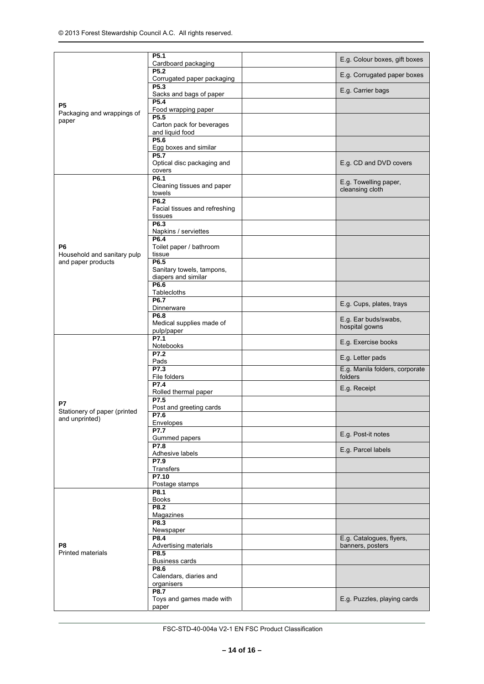|                                                | P <sub>5.1</sub><br>Cardboard packaging                  | E.g. Colour boxes, gift boxes             |
|------------------------------------------------|----------------------------------------------------------|-------------------------------------------|
|                                                | P5.2<br>Corrugated paper packaging                       | E.g. Corrugated paper boxes               |
|                                                | P <sub>5.3</sub><br>Sacks and bags of paper              | E.g. Carrier bags                         |
| Р5                                             | P5.4<br>Food wrapping paper                              |                                           |
| Packaging and wrappings of<br>paper            | P5.5<br>Carton pack for beverages<br>and liquid food     |                                           |
|                                                | P5.6<br>Egg boxes and similar                            |                                           |
|                                                | P5.7<br>Optical disc packaging and<br>covers             | E.g. CD and DVD covers                    |
|                                                | P6.1<br>Cleaning tissues and paper<br>towels             | E.g. Towelling paper,<br>cleansing cloth  |
|                                                | P6.2<br>Facial tissues and refreshing<br>tissues         |                                           |
|                                                | P6.3<br>Napkins / serviettes                             |                                           |
| P6<br>Household and sanitary pulp              | P6.4<br>Toilet paper / bathroom<br>tissue                |                                           |
| and paper products                             | P6.5<br>Sanitary towels, tampons,<br>diapers and similar |                                           |
|                                                | P6.6<br>Tablecloths                                      |                                           |
|                                                | P6.7<br>Dinnerware                                       | E.g. Cups, plates, trays                  |
|                                                | P6.8<br>Medical supplies made of<br>pulp/paper           | E.g. Ear buds/swabs,<br>hospital gowns    |
|                                                | P7.1<br>Notebooks                                        | E.g. Exercise books                       |
|                                                | P7.2<br>Pads                                             | E.g. Letter pads                          |
|                                                | P7.3<br>File folders                                     | E.g. Manila folders, corporate<br>folders |
|                                                | P7.4<br>Rolled thermal paper                             | E.g. Receipt                              |
| P7                                             | P7.5<br>Post and greeting cards                          |                                           |
| Stationery of paper (printed<br>and unprinted) | P7.6<br>Envelopes                                        |                                           |
|                                                | <b>P7.7</b><br>Gummed papers                             | E.g. Post-it notes                        |
|                                                | P7.8<br>Adhesive labels                                  | E.g. Parcel labels                        |
|                                                | P7.9<br>Transfers                                        |                                           |
|                                                | P7.10<br>Postage stamps                                  |                                           |
|                                                | P8.1<br><b>Books</b>                                     |                                           |
|                                                | P8.2<br>Magazines                                        |                                           |
|                                                | P8.3                                                     |                                           |
|                                                | Newspaper<br>P8.4                                        | E.g. Catalogues, flyers,                  |
| P8<br><b>Printed materials</b>                 | Advertising materials<br>P8.5                            | banners, posters                          |
|                                                | <b>Business cards</b><br>P8.6                            |                                           |
|                                                | Calendars, diaries and<br>organisers                     |                                           |
|                                                | P8.7<br>Toys and games made with<br>paper                | E.g. Puzzles, playing cards               |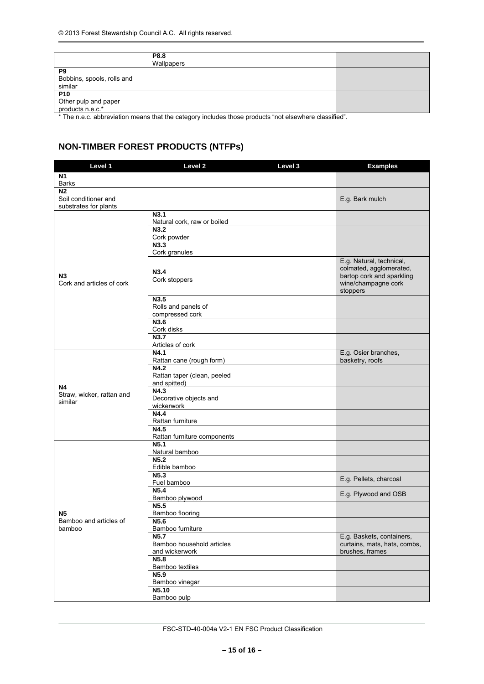|                                                                                                                      | P8.8<br>Wallpapers |                                      |          |
|----------------------------------------------------------------------------------------------------------------------|--------------------|--------------------------------------|----------|
| P <sub>9</sub><br>Bobbins, spools, rolls and<br>similar                                                              |                    |                                      |          |
| P <sub>10</sub><br>Other pulp and paper<br>products n.e.c.*<br>$\cdots$<br>$\sim$ $\sim$ $\sim$ $\sim$ $\sim$ $\sim$ | <br>.              | $\cdots$ $\cdots$ $\cdots$<br>$\sim$ | $\cdots$ |

\* The n.e.c. abbreviation means that the category includes those products "not elsewhere classified".

# **NON-TIMBER FOREST PRODUCTS (NTFPs)**

| Level 1                                                         | Level <sub>2</sub>                                              | Level 3 | <b>Examples</b>                                                                                                     |
|-----------------------------------------------------------------|-----------------------------------------------------------------|---------|---------------------------------------------------------------------------------------------------------------------|
| N <sub>1</sub>                                                  |                                                                 |         |                                                                                                                     |
| <b>Barks</b>                                                    |                                                                 |         |                                                                                                                     |
| N <sub>2</sub><br>Soil conditioner and<br>substrates for plants |                                                                 |         | E.g. Bark mulch                                                                                                     |
|                                                                 | N3.1<br>Natural cork, raw or boiled                             |         |                                                                                                                     |
|                                                                 | N3.2<br>Cork powder<br>N3.3                                     |         |                                                                                                                     |
|                                                                 | Cork granules                                                   |         |                                                                                                                     |
| N <sub>3</sub><br>Cork and articles of cork                     | N3.4<br>Cork stoppers                                           |         | E.g. Natural, technical,<br>colmated, agglomerated,<br>bartop cork and sparkling<br>wine/champagne cork<br>stoppers |
|                                                                 | N3.5<br>Rolls and panels of<br>compressed cork                  |         |                                                                                                                     |
|                                                                 | N3.6<br>Cork disks                                              |         |                                                                                                                     |
|                                                                 | N3.7<br>Articles of cork                                        |         |                                                                                                                     |
|                                                                 | N4.1<br>Rattan cane (rough form)                                |         | E.g. Osier branches,<br>basketry, roofs                                                                             |
| <b>N4</b>                                                       | N4.2<br>Rattan taper (clean, peeled<br>and spitted)             |         |                                                                                                                     |
| Straw, wicker, rattan and<br>similar                            | N4.3<br>Decorative objects and<br>wickerwork                    |         |                                                                                                                     |
|                                                                 | N4.4<br>Rattan furniture                                        |         |                                                                                                                     |
|                                                                 | N4.5<br>Rattan furniture components                             |         |                                                                                                                     |
|                                                                 | N <sub>5.1</sub><br>Natural bamboo                              |         |                                                                                                                     |
|                                                                 | N <sub>5.2</sub><br>Edible bamboo                               |         |                                                                                                                     |
|                                                                 | N <sub>5.3</sub><br>Fuel bamboo                                 |         | E.g. Pellets, charcoal                                                                                              |
|                                                                 | N5.4<br>Bamboo plywood                                          |         | E.g. Plywood and OSB                                                                                                |
| Ν5                                                              | N <sub>5.5</sub><br>Bamboo flooring                             |         |                                                                                                                     |
| Bamboo and articles of<br>bamboo                                | N5.6<br>Bamboo furniture                                        |         |                                                                                                                     |
|                                                                 | N <sub>5.7</sub><br>Bamboo household articles<br>and wickerwork |         | E.g. Baskets, containers,<br>curtains, mats, hats, combs,<br>brushes, frames                                        |
|                                                                 | N5.8<br>Bamboo textiles                                         |         |                                                                                                                     |
|                                                                 | N5.9<br>Bamboo vinegar                                          |         |                                                                                                                     |
|                                                                 | N5.10<br>Bamboo pulp                                            |         |                                                                                                                     |